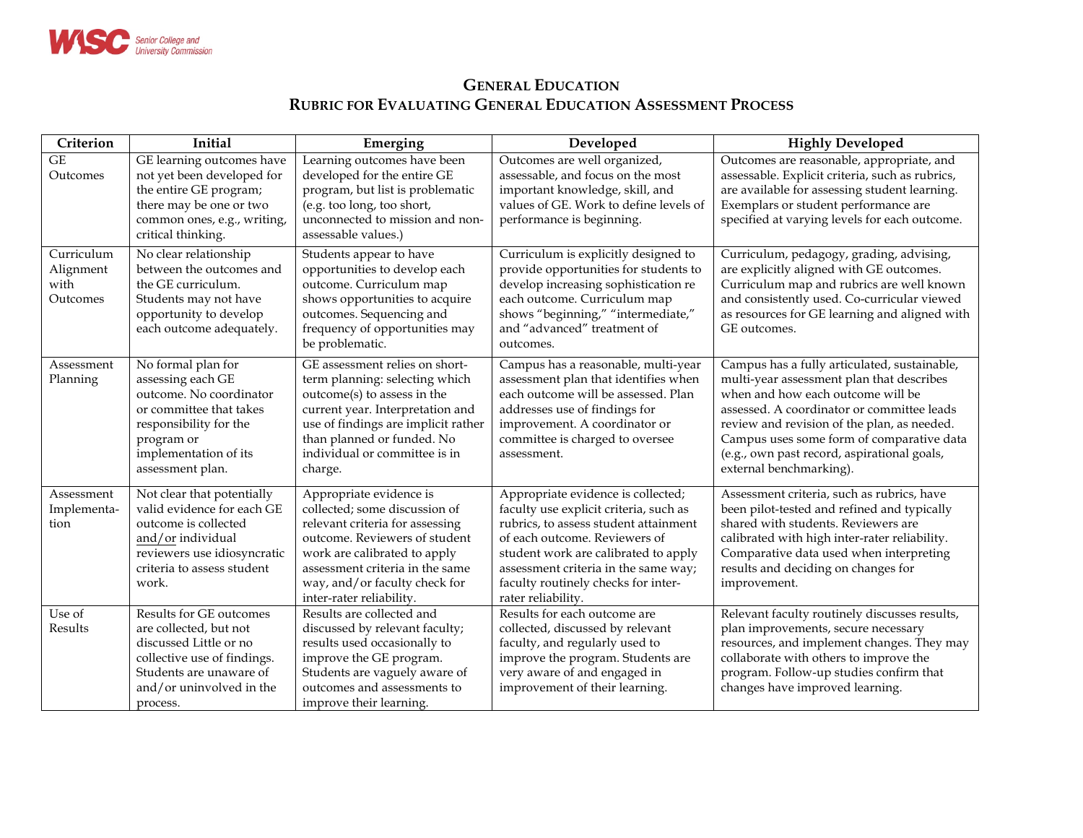

## **GENERAL EDUCATION RUBRIC FOR EVALUATING GENERAL EDUCATION ASSESSMENT PROCESS**

| Criterion                                   | Initial                                                                                                                                                                            | Emerging                                                                                                                                                                                                                                                     | Developed                                                                                                                                                                                                                                                                                           | <b>Highly Developed</b>                                                                                                                                                                                                                                                                                                                            |
|---------------------------------------------|------------------------------------------------------------------------------------------------------------------------------------------------------------------------------------|--------------------------------------------------------------------------------------------------------------------------------------------------------------------------------------------------------------------------------------------------------------|-----------------------------------------------------------------------------------------------------------------------------------------------------------------------------------------------------------------------------------------------------------------------------------------------------|----------------------------------------------------------------------------------------------------------------------------------------------------------------------------------------------------------------------------------------------------------------------------------------------------------------------------------------------------|
| $\overline{\text{GE}}$<br>Outcomes          | GE learning outcomes have<br>not yet been developed for<br>the entire GE program;<br>there may be one or two<br>common ones, e.g., writing,<br>critical thinking.                  | Learning outcomes have been<br>developed for the entire GE<br>program, but list is problematic<br>(e.g. too long, too short,<br>unconnected to mission and non-<br>assessable values.)                                                                       | Outcomes are well organized,<br>assessable, and focus on the most<br>important knowledge, skill, and<br>values of GE. Work to define levels of<br>performance is beginning.                                                                                                                         | Outcomes are reasonable, appropriate, and<br>assessable. Explicit criteria, such as rubrics,<br>are available for assessing student learning.<br>Exemplars or student performance are<br>specified at varying levels for each outcome.                                                                                                             |
| Curriculum<br>Alignment<br>with<br>Outcomes | No clear relationship<br>between the outcomes and<br>the GE curriculum.<br>Students may not have<br>opportunity to develop<br>each outcome adequately.                             | Students appear to have<br>opportunities to develop each<br>outcome. Curriculum map<br>shows opportunities to acquire<br>outcomes. Sequencing and<br>frequency of opportunities may<br>be problematic.                                                       | Curriculum is explicitly designed to<br>provide opportunities for students to<br>develop increasing sophistication re<br>each outcome. Curriculum map<br>shows "beginning," "intermediate,"<br>and "advanced" treatment of<br>outcomes.                                                             | Curriculum, pedagogy, grading, advising,<br>are explicitly aligned with GE outcomes.<br>Curriculum map and rubrics are well known<br>and consistently used. Co-curricular viewed<br>as resources for GE learning and aligned with<br>GE outcomes.                                                                                                  |
| Assessment<br>Planning                      | No formal plan for<br>assessing each GE<br>outcome. No coordinator<br>or committee that takes<br>responsibility for the<br>program or<br>implementation of its<br>assessment plan. | GE assessment relies on short-<br>term planning: selecting which<br>outcome(s) to assess in the<br>current year. Interpretation and<br>use of findings are implicit rather<br>than planned or funded. No<br>individual or committee is in<br>charge.         | Campus has a reasonable, multi-year<br>assessment plan that identifies when<br>each outcome will be assessed. Plan<br>addresses use of findings for<br>improvement. A coordinator or<br>committee is charged to oversee<br>assessment.                                                              | Campus has a fully articulated, sustainable,<br>multi-year assessment plan that describes<br>when and how each outcome will be<br>assessed. A coordinator or committee leads<br>review and revision of the plan, as needed.<br>Campus uses some form of comparative data<br>(e.g., own past record, aspirational goals,<br>external benchmarking). |
| Assessment<br>Implementa-<br>tion           | Not clear that potentially<br>valid evidence for each GE<br>outcome is collected<br>and/or individual<br>reviewers use idiosyncratic<br>criteria to assess student<br>work.        | Appropriate evidence is<br>collected; some discussion of<br>relevant criteria for assessing<br>outcome. Reviewers of student<br>work are calibrated to apply<br>assessment criteria in the same<br>way, and/or faculty check for<br>inter-rater reliability. | Appropriate evidence is collected;<br>faculty use explicit criteria, such as<br>rubrics, to assess student attainment<br>of each outcome. Reviewers of<br>student work are calibrated to apply<br>assessment criteria in the same way;<br>faculty routinely checks for inter-<br>rater reliability. | Assessment criteria, such as rubrics, have<br>been pilot-tested and refined and typically<br>shared with students. Reviewers are<br>calibrated with high inter-rater reliability.<br>Comparative data used when interpreting<br>results and deciding on changes for<br>improvement.                                                                |
| Use of<br>Results                           | Results for GE outcomes<br>are collected, but not<br>discussed Little or no<br>collective use of findings.<br>Students are unaware of<br>and/or uninvolved in the<br>process.      | Results are collected and<br>discussed by relevant faculty;<br>results used occasionally to<br>improve the GE program.<br>Students are vaguely aware of<br>outcomes and assessments to<br>improve their learning.                                            | Results for each outcome are<br>collected, discussed by relevant<br>faculty, and regularly used to<br>improve the program. Students are<br>very aware of and engaged in<br>improvement of their learning.                                                                                           | Relevant faculty routinely discusses results,<br>plan improvements, secure necessary<br>resources, and implement changes. They may<br>collaborate with others to improve the<br>program. Follow-up studies confirm that<br>changes have improved learning.                                                                                         |